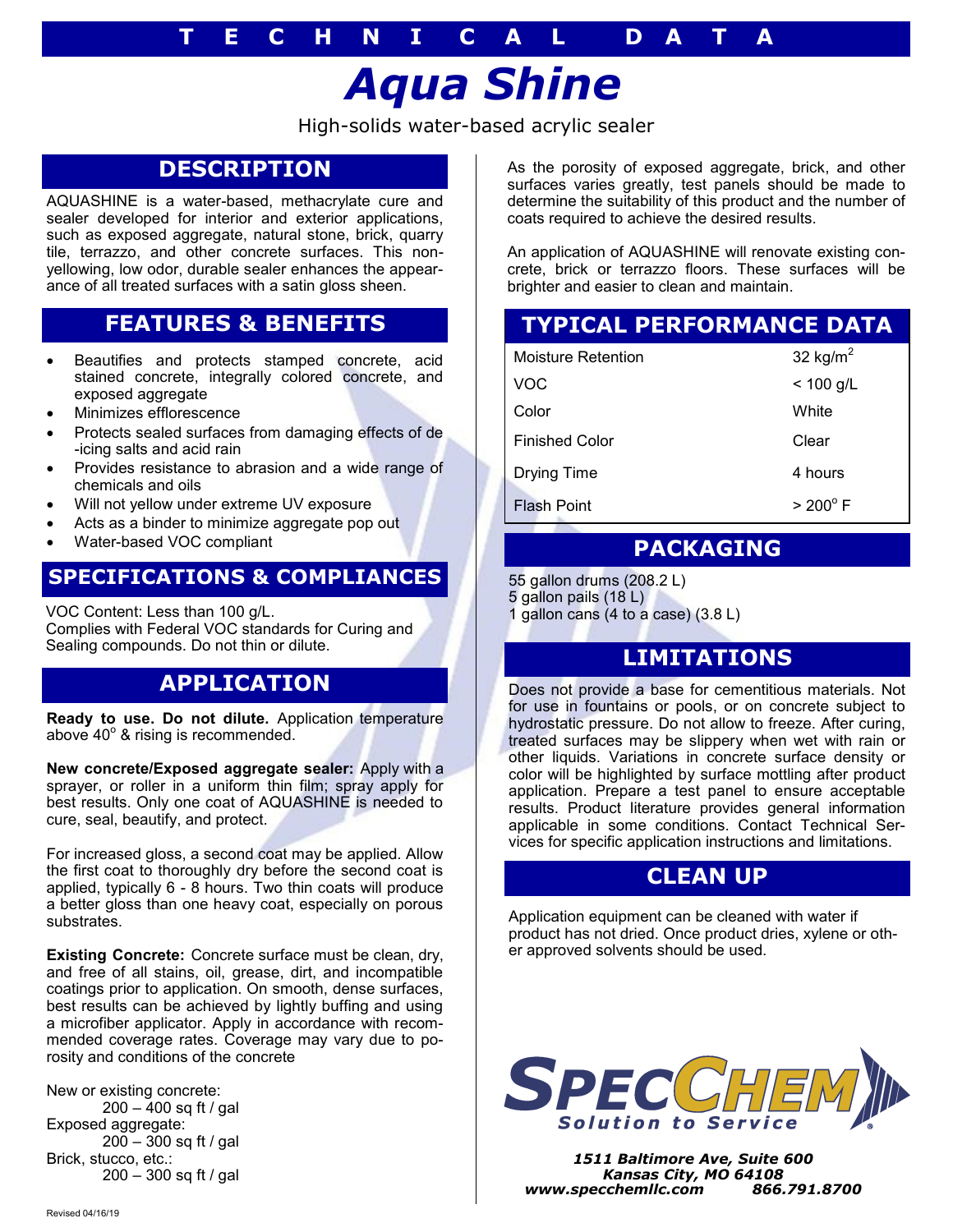#### **T E C H N I C A L D A T A**

# *Aqua Shine*

High-solids water-based acrylic sealer

# **DESCRIPTION**

AQUASHINE is a water-based, methacrylate cure and sealer developed for interior and exterior applications, such as exposed aggregate, natural stone, brick, quarry tile, terrazzo, and other concrete surfaces. This nonyellowing, low odor, durable sealer enhances the appearance of all treated surfaces with a satin gloss sheen.

# **FEATURES & BENEFITS**

- Beautifies and protects stamped concrete, acid stained concrete, integrally colored concrete, and exposed aggregate
- Minimizes efflorescence
- Protects sealed surfaces from damaging effects of de -icing salts and acid rain
- Provides resistance to abrasion and a wide range of chemicals and oils
- Will not yellow under extreme UV exposure
- Acts as a binder to minimize aggregate pop out
- Water-based VOC compliant

#### **SPECIFICATIONS & COMPLIANCES**

VOC Content: Less than 100 g/L. Complies with Federal VOC standards for Curing and Sealing compounds. Do not thin or dilute.

#### **APPLICATION**

**Ready to use. Do not dilute.** Application temperature above  $40^{\circ}$  & rising is recommended.

**New concrete/Exposed aggregate sealer:** Apply with a sprayer, or roller in a uniform thin film; spray apply for best results. Only one coat of AQUASHINE is needed to cure, seal, beautify, and protect.

For increased gloss, a second coat may be applied. Allow the first coat to thoroughly dry before the second coat is applied, typically 6 - 8 hours. Two thin coats will produce a better gloss than one heavy coat, especially on porous substrates.

**Existing Concrete:** Concrete surface must be clean, dry, and free of all stains, oil, grease, dirt, and incompatible coatings prior to application. On smooth, dense surfaces, best results can be achieved by lightly buffing and using a microfiber applicator. Apply in accordance with recommended coverage rates. Coverage may vary due to porosity and conditions of the concrete

New or existing concrete: 200 – 400 sq ft / gal Exposed aggregate: 200 – 300 sq ft / gal Brick, stucco, etc.: 200 – 300 sq ft / gal

As the porosity of exposed aggregate, brick, and other surfaces varies greatly, test panels should be made to determine the suitability of this product and the number of coats required to achieve the desired results.

An application of AQUASHINE will renovate existing concrete, brick or terrazzo floors. These surfaces will be brighter and easier to clean and maintain.

# **TYPICAL PERFORMANCE DATA**

| Moisture Retention    | 32 kg/ $m2$       |
|-----------------------|-------------------|
| <b>VOC</b>            | $< 100$ g/L       |
| Color                 | White             |
| <b>Finished Color</b> | Clear             |
| <b>Drying Time</b>    | 4 hours           |
| <b>Flash Point</b>    | $> 200^{\circ}$ F |

#### **PACKAGING**

55 gallon drums (208.2 L)

5 gallon pails (18 L)

gallon cans  $(4 \text{ to a case})$   $(3.8 \text{ L})$ 

# **LIMITATIONS**

Does not provide a base for cementitious materials. Not for use in fountains or pools, or on concrete subject to hydrostatic pressure. Do not allow to freeze. After curing, treated surfaces may be slippery when wet with rain or other liquids. Variations in concrete surface density or color will be highlighted by surface mottling after product application. Prepare a test panel to ensure acceptable results. Product literature provides general information applicable in some conditions. Contact Technical Services for specific application instructions and limitations.

#### **CLEAN UP**

Application equipment can be cleaned with water if product has not dried. Once product dries, xylene or other approved solvents should be used.



*1511 Baltimore Ave, Suite 600 Kansas City, MO 64108 www.specchemllc.com 866.791.8700*